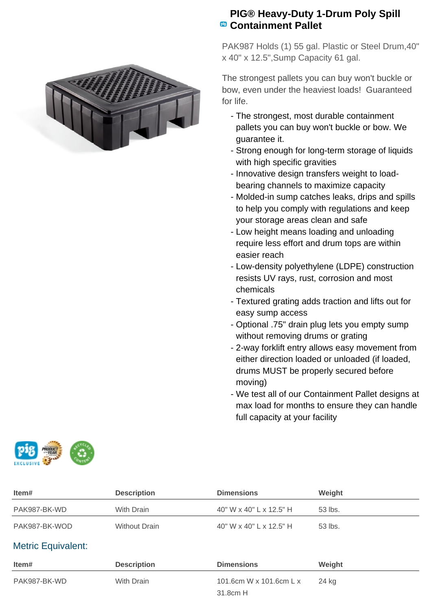

## **PIG® Heavy-Duty 1-Drum Poly Spill Containment Pallet**

PAK987 Holds (1) 55 gal. Plastic or Steel Drum,40" x 40" x 12.5",Sump Capacity 61 gal.

The strongest pallets you can buy won't buckle or bow, even under the heaviest loads! Guaranteed for life.

- The strongest, most durable containment pallets you can buy won't buckle or bow. We guarantee it.
- Strong enough for long-term storage of liquids with high specific gravities
- Innovative design transfers weight to loadbearing channels to maximize capacity
- Molded-in sump catches leaks, drips and spills to help you comply with regulations and keep your storage areas clean and safe
- Low height means loading and unloading require less effort and drum tops are within easier reach
- Low-density polyethylene (LDPE) construction resists UV rays, rust, corrosion and most chemicals
- Textured grating adds traction and lifts out for easy sump access
- Optional .75" drain plug lets you empty sump without removing drums or grating
- 2-way forklift entry allows easy movement from either direction loaded or unloaded (if loaded, drums MUST be properly secured before moving)
- We test all of our Containment Pallet designs at max load for months to ensure they can handle full capacity at your facility

| EXCLUSIVE | PROL |  |
|-----------|------|--|
|-----------|------|--|

| Item#                     | <b>Description</b>   | <b>Dimensions</b>       | Weight  |
|---------------------------|----------------------|-------------------------|---------|
| PAK987-BK-WD              | With Drain           | 40" W x 40" L x 12.5" H | 53 lbs. |
| PAK987-BK-WOD             | <b>Without Drain</b> | 40" W x 40" L x 12.5" H | 53 lbs. |
| <b>Metric Equivalent:</b> |                      |                         |         |
| Item#                     | <b>Description</b>   | <b>Dimensions</b>       | Weight  |
| PAK987-BK-WD              | With Drain           | 101.6cm W x 101.6cm L x | 24 kg   |
|                           |                      | 31.8cm H                |         |